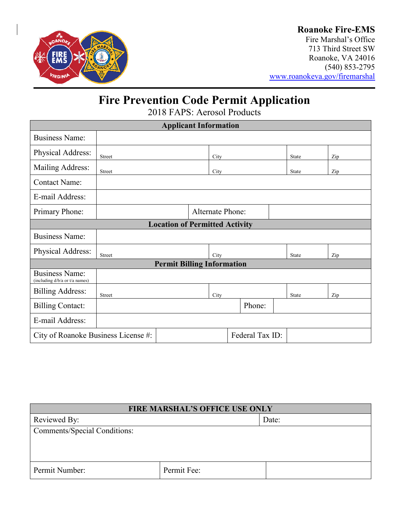

## **Roanoke Fire-EMS**

Fire Marshal's Office 713 Third Street SW Roanoke, VA 24016 (540) 853-2795 [www.roanokeva.gov/firemarshal](http://www.roanokeva.gov/firemarshal)

# **Fire Prevention Code Permit Application**

2018 FAPS: Aerosol Products

| <b>Applicant Information</b>                            |                         |  |      |        |  |              |     |  |
|---------------------------------------------------------|-------------------------|--|------|--------|--|--------------|-----|--|
| <b>Business Name:</b>                                   |                         |  |      |        |  |              |     |  |
| Physical Address:                                       | Street                  |  | City |        |  | <b>State</b> | Zip |  |
| Mailing Address:                                        | Street                  |  | City |        |  | State        | Zip |  |
| <b>Contact Name:</b>                                    |                         |  |      |        |  |              |     |  |
| E-mail Address:                                         |                         |  |      |        |  |              |     |  |
| Primary Phone:                                          | <b>Alternate Phone:</b> |  |      |        |  |              |     |  |
| <b>Location of Permitted Activity</b>                   |                         |  |      |        |  |              |     |  |
| <b>Business Name:</b>                                   |                         |  |      |        |  |              |     |  |
| Physical Address:                                       | Street                  |  | City |        |  | <b>State</b> | Zip |  |
| <b>Permit Billing Information</b>                       |                         |  |      |        |  |              |     |  |
| <b>Business Name:</b><br>(including d/b/a or t/a names) |                         |  |      |        |  |              |     |  |
| <b>Billing Address:</b>                                 | Street                  |  | City |        |  | <b>State</b> | Zip |  |
| <b>Billing Contact:</b>                                 |                         |  |      | Phone: |  |              |     |  |
| E-mail Address:                                         |                         |  |      |        |  |              |     |  |
| Federal Tax ID:<br>City of Roanoke Business License #:  |                         |  |      |        |  |              |     |  |

| <b>FIRE MARSHAL'S OFFICE USE ONLY</b> |             |       |  |  |
|---------------------------------------|-------------|-------|--|--|
| Reviewed By:                          |             | Date: |  |  |
| Comments/Special Conditions:          |             |       |  |  |
|                                       |             |       |  |  |
|                                       |             |       |  |  |
| Permit Number:                        | Permit Fee: |       |  |  |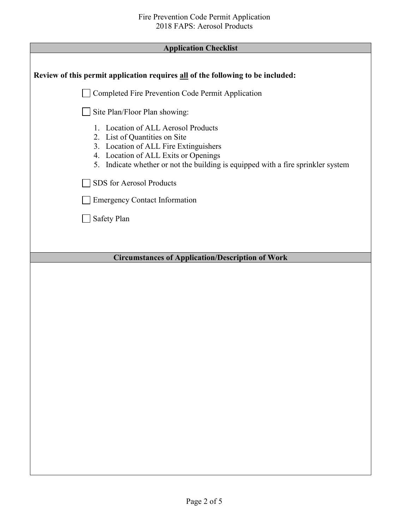## **Application Checklist**

| Review of this permit application requires all of the following to be included:                                                                                                                                                           |  |  |  |
|-------------------------------------------------------------------------------------------------------------------------------------------------------------------------------------------------------------------------------------------|--|--|--|
| Completed Fire Prevention Code Permit Application                                                                                                                                                                                         |  |  |  |
| Site Plan/Floor Plan showing:                                                                                                                                                                                                             |  |  |  |
| 1. Location of ALL Aerosol Products<br>2. List of Quantities on Site<br>3. Location of ALL Fire Extinguishers<br>4. Location of ALL Exits or Openings<br>5. Indicate whether or not the building is equipped with a fire sprinkler system |  |  |  |
| SDS for Aerosol Products                                                                                                                                                                                                                  |  |  |  |
| <b>Emergency Contact Information</b>                                                                                                                                                                                                      |  |  |  |
| Safety Plan                                                                                                                                                                                                                               |  |  |  |
|                                                                                                                                                                                                                                           |  |  |  |
| <b>Circumstances of Application/Description of Work</b>                                                                                                                                                                                   |  |  |  |
|                                                                                                                                                                                                                                           |  |  |  |
|                                                                                                                                                                                                                                           |  |  |  |
|                                                                                                                                                                                                                                           |  |  |  |
|                                                                                                                                                                                                                                           |  |  |  |
|                                                                                                                                                                                                                                           |  |  |  |
|                                                                                                                                                                                                                                           |  |  |  |
|                                                                                                                                                                                                                                           |  |  |  |
|                                                                                                                                                                                                                                           |  |  |  |
|                                                                                                                                                                                                                                           |  |  |  |
|                                                                                                                                                                                                                                           |  |  |  |
|                                                                                                                                                                                                                                           |  |  |  |
|                                                                                                                                                                                                                                           |  |  |  |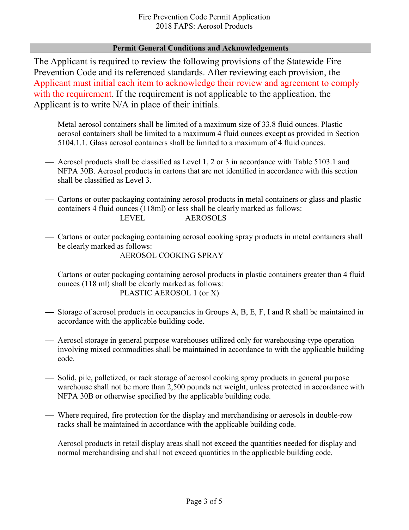### **Permit General Conditions and Acknowledgements**

The Applicant is required to review the following provisions of the Statewide Fire Prevention Code and its referenced standards. After reviewing each provision, the Applicant must initial each item to acknowledge their review and agreement to comply with the requirement. If the requirement is not applicable to the application, the Applicant is to write N/A in place of their initials.

- Metal aerosol containers shall be limited of a maximum size of 33.8 fluid ounces. Plastic aerosol containers shall be limited to a maximum 4 fluid ounces except as provided in Section 5104.1.1. Glass aerosol containers shall be limited to a maximum of 4 fluid ounces.
- Aerosol products shall be classified as Level 1, 2 or 3 in accordance with Table 5103.1 and NFPA 30B. Aerosol products in cartons that are not identified in accordance with this section shall be classified as Level 3.
- Cartons or outer packaging containing aerosol products in metal containers or glass and plastic containers 4 fluid ounces (118ml) or less shall be clearly marked as follows: LEVEL\_\_\_\_\_\_\_\_\_\_AEROSOLS
- Cartons or outer packaging containing aerosol cooking spray products in metal containers shall be clearly marked as follows:

AEROSOL COOKING SPRAY

- Cartons or outer packaging containing aerosol products in plastic containers greater than 4 fluid ounces (118 ml) shall be clearly marked as follows: PLASTIC AEROSOL 1 (or X)
- Storage of aerosol products in occupancies in Groups A, B, E, F, I and R shall be maintained in accordance with the applicable building code.
- Aerosol storage in general purpose warehouses utilized only for warehousing-type operation involving mixed commodities shall be maintained in accordance to with the applicable building code.
- $\sim$  Solid, pile, palletized, or rack storage of aerosol cooking spray products in general purpose warehouse shall not be more than 2,500 pounds net weight, unless protected in accordance with NFPA 30B or otherwise specified by the applicable building code.
- Where required, fire protection for the display and merchandising or aerosols in double-row racks shall be maintained in accordance with the applicable building code.
- Aerosol products in retail display areas shall not exceed the quantities needed for display and normal merchandising and shall not exceed quantities in the applicable building code.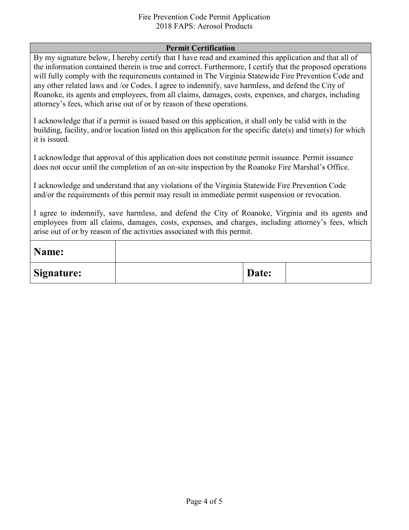### Fire Prevention Code Permit Application 2018 FAPS: Aerosol Products

#### **Permit Certification**

By my signature below, I hereby certify that I have read and examined this application and that all of the information contained therein is true and correct. Furthermore, I certify that the proposed operations will fully comply with the requirements contained in The Virginia Statewide Fire Prevention Code and any other related laws and /or Codes. I agree to indemnify, save harmless, and defend the City of Roanoke, its agents and employees, from all claims, damages, costs, expenses, and charges, including attorney's fees, which arise out of or by reason of these operations.

I acknowledge that if a permit is issued based on this application, it shall only be valid with in the building, facility, and/or location listed on this application for the specific date(s) and time(s) for which it is issued.

I acknowledge that approval of this application does not constitute permit issuance. Permit issuance does not occur until the completion of an on-site inspection by the Roanoke Fire Marshal's Office.

I acknowledge and understand that any violations of the Virginia Statewide Fire Prevention Code and/or the requirements of this permit may result in immediate permit suspension or revocation.

I agree to indemnify, save harmless, and defend the City of Roanoke, Virginia and its agents and employees from all claims, damages, costs, expenses, and charges, including attorney's fees, which arise out of or by reason of the activities associated with this permit.

| Name:             |       |  |
|-------------------|-------|--|
| <b>Signature:</b> | Date: |  |